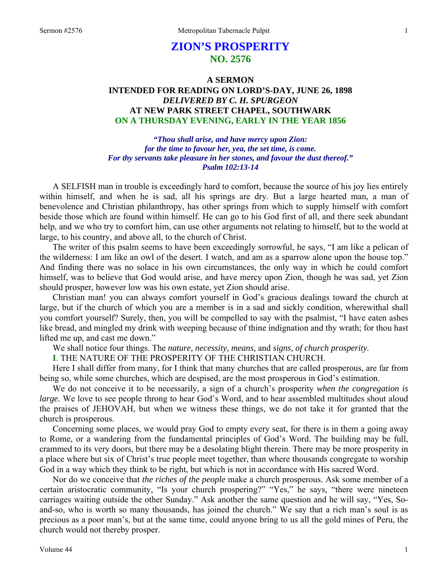# **ZION'S PROSPERITY NO. 2576**

# **A SERMON INTENDED FOR READING ON LORD'S-DAY, JUNE 26, 1898**  *DELIVERED BY C. H. SPURGEON*  **AT NEW PARK STREET CHAPEL, SOUTHWARK ON A THURSDAY EVENING, EARLY IN THE YEAR 1856**

*"Thou shall arise, and have mercy upon Zion: for the time to favour her, yea, the set time, is come. For thy servants take pleasure in her stones, and favour the dust thereof." Psalm 102:13-14* 

A SELFISH man in trouble is exceedingly hard to comfort, because the source of his joy lies entirely within himself, and when he is sad, all his springs are dry. But a large hearted man, a man of benevolence and Christian philanthropy, has other springs from which to supply himself with comfort beside those which are found within himself. He can go to his God first of all, and there seek abundant help, and we who try to comfort him, can use other arguments not relating to himself, but to the world at large, to his country, and above all, to the church of Christ.

The writer of this psalm seems to have been exceedingly sorrowful, he says, "I am like a pelican of the wilderness: I am like an owl of the desert. I watch, and am as a sparrow alone upon the house top." And finding there was no solace in his own circumstances, the only way in which he could comfort himself, was to believe that God would arise, and have mercy upon Zion, though he was sad, yet Zion should prosper, however low was his own estate, yet Zion should arise.

Christian man! you can always comfort yourself in God's gracious dealings toward the church at large, but if the church of which you are a member is in a sad and sickly condition, wherewithal shall you comfort yourself? Surely, then, you will be compelled to say with the psalmist, "I have eaten ashes like bread, and mingled my drink with weeping because of thine indignation and thy wrath; for thou hast lifted me up, and cast me down."

We shall notice four things. The *nature, necessity, means,* and *signs, of church prosperity.* 

**I**. THE NATURE OF THE PROSPERITY OF THE CHRISTIAN CHURCH.

Here I shall differ from many, for I think that many churches that are called prosperous, are far from being so, while some churches, which are despised, are the most prosperous in God's estimation.

We do not conceive it to be necessarily, a sign of a church's prosperity *when the congregation is large.* We love to see people throng to hear God's Word, and to hear assembled multitudes shout aloud the praises of JEHOVAH, but when we witness these things, we do not take it for granted that the church is prosperous.

Concerning some places, we would pray God to empty every seat, for there is in them a going away to Rome, or a wandering from the fundamental principles of God's Word. The building may be full, crammed to its very doors, but there may be a desolating blight therein. There may be more prosperity in a place where but six of Christ's true people meet together, than where thousands congregate to worship God in a way which they think to be right, but which is not in accordance with His sacred Word.

Nor do we conceive that *the riches of the people* make a church prosperous. Ask some member of a certain aristocratic community, "Is your church prospering?" "Yes," he says, "there were nineteen carriages waiting outside the other Sunday." Ask another the same question and he will say, "Yes, Soand-so, who is worth so many thousands, has joined the church." We say that a rich man's soul is as precious as a poor man's, but at the same time, could anyone bring to us all the gold mines of Peru, the church would not thereby prosper.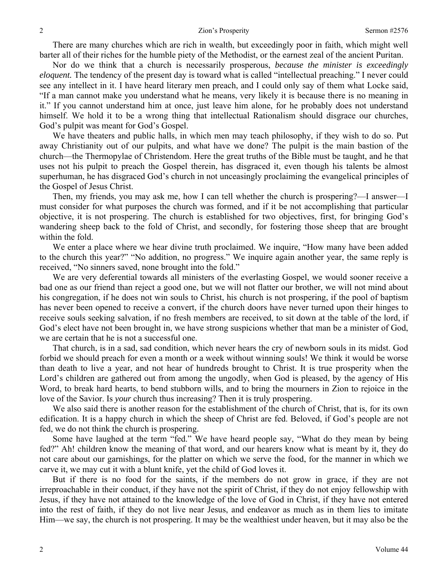There are many churches which are rich in wealth, but exceedingly poor in faith, which might well barter all of their riches for the humble piety of the Methodist, or the earnest zeal of the ancient Puritan.

Nor do we think that a church is necessarily prosperous, *because the minister is exceedingly eloquent.* The tendency of the present day is toward what is called "intellectual preaching." I never could see any intellect in it. I have heard literary men preach, and I could only say of them what Locke said, "If a man cannot make you understand what he means, very likely it is because there is no meaning in it." If you cannot understand him at once, just leave him alone, for he probably does not understand himself. We hold it to be a wrong thing that intellectual Rationalism should disgrace our churches, God's pulpit was meant for God's Gospel.

We have theaters and public halls, in which men may teach philosophy, if they wish to do so. Put away Christianity out of our pulpits, and what have we done? The pulpit is the main bastion of the church—the Thermopylae of Christendom. Here the great truths of the Bible must be taught, and he that uses not his pulpit to preach the Gospel therein, has disgraced it, even though his talents be almost superhuman, he has disgraced God's church in not unceasingly proclaiming the evangelical principles of the Gospel of Jesus Christ.

Then, my friends, you may ask me, how I can tell whether the church is prospering?—I answer—I must consider for what purposes the church was formed, and if it be not accomplishing that particular objective, it is not prospering. The church is established for two objectives, first, for bringing God's wandering sheep back to the fold of Christ, and secondly, for fostering those sheep that are brought within the fold.

We enter a place where we hear divine truth proclaimed. We inquire, "How many have been added to the church this year?" "No addition, no progress." We inquire again another year, the same reply is received, "No sinners saved, none brought into the fold."

We are very deferential towards all ministers of the everlasting Gospel, we would sooner receive a bad one as our friend than reject a good one, but we will not flatter our brother, we will not mind about his congregation, if he does not win souls to Christ, his church is not prospering, if the pool of baptism has never been opened to receive a convert, if the church doors have never turned upon their hinges to receive souls seeking salvation, if no fresh members are received, to sit down at the table of the lord, if God's elect have not been brought in, we have strong suspicions whether that man be a minister of God, we are certain that he is not a successful one.

That church, is in a sad, sad condition, which never hears the cry of newborn souls in its midst. God forbid we should preach for even a month or a week without winning souls! We think it would be worse than death to live a year, and not hear of hundreds brought to Christ. It is true prosperity when the Lord's children are gathered out from among the ungodly, when God is pleased, by the agency of His Word, to break hard hearts, to bend stubborn wills, and to bring the mourners in Zion to rejoice in the love of the Savior. Is *your* church thus increasing? Then it is truly prospering.

We also said there is another reason for the establishment of the church of Christ, that is, for its own edification. It is a happy church in which the sheep of Christ are fed. Beloved, if God's people are not fed, we do not think the church is prospering.

Some have laughed at the term "fed." We have heard people say, "What do they mean by being fed?" Ah! children know the meaning of that word, and our hearers know what is meant by it, they do not care about our garnishings, for the platter on which we serve the food, for the manner in which we carve it, we may cut it with a blunt knife, yet the child of God loves it.

But if there is no food for the saints, if the members do not grow in grace, if they are not irreproachable in their conduct, if they have not the spirit of Christ, if they do not enjoy fellowship with Jesus, if they have not attained to the knowledge of the love of God in Christ, if they have not entered into the rest of faith, if they do not live near Jesus, and endeavor as much as in them lies to imitate Him—we say, the church is not prospering. It may be the wealthiest under heaven, but it may also be the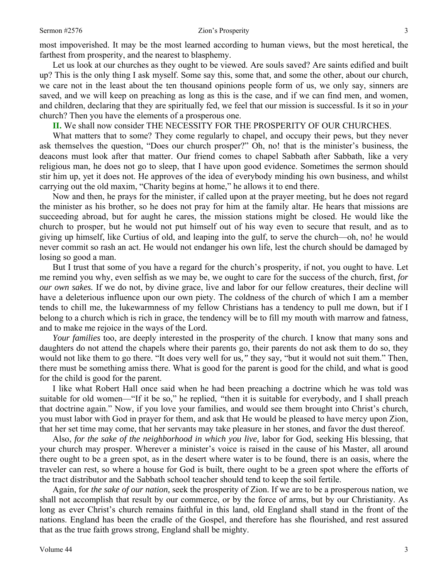#### Sermon #2576 **Zion's Prosperity** 3

most impoverished. It may be the most learned according to human views, but the most heretical, the farthest from prosperity, and the nearest to blasphemy.

Let us look at our churches as they ought to be viewed. Are souls saved? Are saints edified and built up? This is the only thing I ask myself. Some say this, some that, and some the other, about our church, we care not in the least about the ten thousand opinions people form of us, we only say, sinners are saved, and we will keep on preaching as long as this is the case, and if we can find men, and women, and children, declaring that they are spiritually fed, we feel that our mission is successful. Is it so in *your*  church? Then you have the elements of a prosperous one.

**II.** We shall now consider THE NECESSITY FOR THE PROSPERITY OF OUR CHURCHES.

What matters that to some? They come regularly to chapel, and occupy their pews, but they never ask themselves the question, "Does our church prosper?" Oh, no! that is the minister's business, the deacons must look after that matter. Our friend comes to chapel Sabbath after Sabbath, like a very religious man, he does not go to sleep, that I have upon good evidence. Sometimes the sermon should stir him up, yet it does not. He approves of the idea of everybody minding his own business, and whilst carrying out the old maxim, "Charity begins at home," he allows it to end there.

Now and then, he prays for the minister, if called upon at the prayer meeting, but he does not regard the minister as his brother, so he does not pray for him at the family altar. He hears that missions are succeeding abroad, but for aught he cares, the mission stations might be closed. He would like the church to prosper, but he would not put himself out of his way even to secure that result, and as to giving up himself, like Curtius of old, and leaping into the gulf, to serve the church—oh, no! he would never commit so rash an act. He would not endanger his own life, lest the church should be damaged by losing so good a man.

But I trust that some of you have a regard for the church's prosperity, if not, you ought to have. Let me remind you why, even selfish as we may be, we ought to care for the success of the church, first, *for our own sakes.* If we do not, by divine grace, live and labor for our fellow creatures, their decline will have a deleterious influence upon our own piety. The coldness of the church of which I am a member tends to chill me, the lukewarmness of my fellow Christians has a tendency to pull me down, but if I belong to a church which is rich in grace, the tendency will be to fill my mouth with marrow and fatness, and to make me rejoice in the ways of the Lord.

*Your families* too, are deeply interested in the prosperity of the church. I know that many sons and daughters do not attend the chapels where their parents go, their parents do not ask them to do so, they would not like them to go there. "It does very well for us*,"* they say*,* "but it would not suit them." Then, there must be something amiss there. What is good for the parent is good for the child, and what is good for the child is good for the parent.

I like what Robert Hall once said when he had been preaching a doctrine which he was told was suitable for old women—"If it be so," he replied, *"*then it is suitable for everybody, and I shall preach that doctrine again." Now, if you love your families, and would see them brought into Christ's church, you must labor with God in prayer for them, and ask that He would be pleased to have mercy upon Zion, that her set time may come, that her servants may take pleasure in her stones, and favor the dust thereof.

Also, *for the sake of the neighborhood in which you live,* labor for God, seeking His blessing, that your church may prosper. Wherever a minister's voice is raised in the cause of his Master, all around there ought to be a green spot, as in the desert where water is to be found, there is an oasis, where the traveler can rest*,* so where a house for God is built, there ought to be a green spot where the efforts of the tract distributor and the Sabbath school teacher should tend to keep the soil fertile.

Again, for *the sake of our nation,* seek the prosperity of Zion. If we are to be a prosperous nation, we shall not accomplish that result by our commerce, or by the force of arms, but by our Christianity. As long as ever Christ's church remains faithful in this land, old England shall stand in the front of the nations. England has been the cradle of the Gospel, and therefore has she flourished, and rest assured that as the true faith grows strong, England shall be mighty.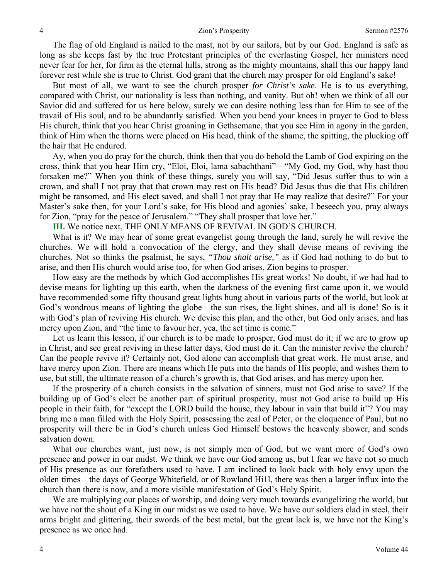The flag of old England is nailed to the mast, not by our sailors, but by our God. England is safe as long as she keeps fast by the true Protestant principles of the everlasting Gospel, her ministers need never fear for her, for firm as the eternal hills, strong as the mighty mountains, shall this our happy land forever rest while she is true to Christ. God grant that the church may prosper for old England's sake!

But most of all, we want to see the church prosper *for Christ's sake*. He is to us everything, compared with Christ, our nationality is less than nothing, and vanity. But oh! when we think of all our Savior did and suffered for us here below, surely we can desire nothing less than for Him to see of the travail of His soul, and to be abundantly satisfied. When you bend your knees in prayer to God to bless His church, think that you hear Christ groaning in Gethsemane, that you see Him in agony in the garden, think of Him when the thorns were placed on His head, think of the shame, the spitting, the plucking off the hair that He endured.

Ay, when you do pray for the church, think then that you do behold the Lamb of God expiring on the cross, think that you hear Him cry, "Eloi, Eloi, lama sabachthani"—"My God, my God, why hast thou forsaken me?" When you think of these things, surely you will say, "Did Jesus suffer thus to win a crown, and shall I not pray that that crown may rest on His head? Did Jesus thus die that His children might be ransomed, and His elect saved, and shall I not pray that He may realize that desire?" For your Master's sake then, for your Lord's sake, for His blood and agonies' sake, I beseech you, pray always for Zion, "pray for the peace of Jerusalem." "They shall prosper that love her."

**III.** We notice next, THE ONLY MEANS OF REVIVAL IN GOD'S CHURCH.

What is it? We may hear of some great evangelist going through the land, surely he will revive the churches. We will hold a convocation of the clergy, and they shall devise means of reviving the churches. Not so thinks the psalmist, he says, *"Thou shalt arise,"* as if God had nothing to do but to arise, and then His church would arise too, for when God arises, Zion begins to prosper.

How easy are the methods by which God accomplishes His great works! No doubt, if *we* had had to devise means for lighting up this earth, when the darkness of the evening first came upon it, we would have recommended some fifty thousand great lights hung about in various parts of the world, but look at God's wondrous means of lighting the globe—the sun rises, the light shines, and all is done! So is it with God's plan of reviving His church. We devise this plan, and the other, but God only arises, and has mercy upon Zion, and "the time to favour her, yea, the set time is come."

Let us learn this lesson, if our church is to be made to prosper, God must do it; if we are to grow up in Christ, and see great reviving in these latter days, God must do it. Can the minister revive the church? Can the people revive it? Certainly not, God alone can accomplish that great work. He must arise, and have mercy upon Zion. There are means which He puts into the hands of His people, and wishes them to use, but still, the ultimate reason of a church's growth is, that God arises, and has mercy upon her.

If the prosperity of a church consists in the salvation of sinners, must not God arise to save? If the building up of God's elect be another part of spiritual prosperity, must not God arise to build up His people in their faith, for "except the LORD build the house, they labour in vain that build it"? You may bring me a man filled with the Holy Spirit, possessing the zeal of Peter, or the eloquence of Paul, but no prosperity will there be in God's church unless God Himself bestows the heavenly shower, and sends salvation down.

What our churches want, just now, is not simply men of God, but we want more of God's own presence and power in our midst. We think we have our God among us, but I fear we have not so much of His presence as our forefathers used to have. I am inclined to look back with holy envy upon the olden times—the days of George Whitefield, or of Rowland Hi1l, there was then a larger influx into the church than there is now, and a more visible manifestation of God's Holy Spirit.

We are multiplying our places of worship, and doing very much towards evangelizing the world, but we have not the shout of a King in our midst as we used to have. We have our soldiers clad in steel, their arms bright and glittering, their swords of the best metal, but the great lack is, we have not the King's presence as we once had.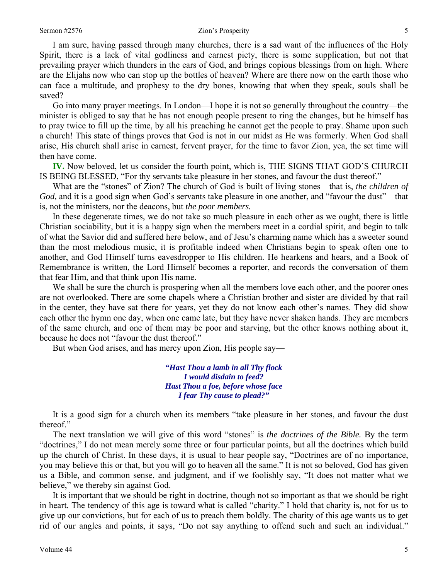I am sure, having passed through many churches, there is a sad want of the influences of the Holy Spirit, there is a lack of vital godliness and earnest piety, there is some supplication, but not that prevailing prayer which thunders in the ears of God, and brings copious blessings from on high. Where are the Elijahs now who can stop up the bottles of heaven? Where are there now on the earth those who can face a multitude, and prophesy to the dry bones, knowing that when they speak, souls shall be saved?

Go into many prayer meetings. In London—I hope it is not so generally throughout the country—the minister is obliged to say that he has not enough people present to ring the changes, but he himself has to pray twice to fill up the time, by all his preaching he cannot get the people to pray. Shame upon such a church! This state of things proves that God is not in our midst as He was formerly. When God shall arise, His church shall arise in earnest, fervent prayer, for the time to favor Zion, yea, the set time will then have come.

**IV.** Now beloved, let us consider the fourth point, which is, THE SIGNS THAT GOD'S CHURCH IS BEING BLESSED, "For thy servants take pleasure in her stones, and favour the dust thereof."

What are the "stones" of Zion? The church of God is built of living stones—that is, *the children of God,* and it is a good sign when God's servants take pleasure in one another, and "favour the dust"—that is, not the ministers, nor the deacons, but *the poor members.* 

In these degenerate times, we do not take so much pleasure in each other as we ought, there is little Christian sociability, but it is a happy sign when the members meet in a cordial spirit, and begin to talk of what the Savior did and suffered here below, and of Jesu's charming name which has a sweeter sound than the most melodious music, it is profitable indeed when Christians begin to speak often one to another, and God Himself turns eavesdropper to His children. He hearkens and hears, and a Book of Remembrance is written, the Lord Himself becomes a reporter, and records the conversation of them that fear Him, and that think upon His name.

We shall be sure the church is prospering when all the members love each other, and the poorer ones are not overlooked. There are some chapels where a Christian brother and sister are divided by that rail in the center, they have sat there for years, yet they do not know each other's names. They did show each other the hymn one day, when one came late, but they have never shaken hands. They are members of the same church, and one of them may be poor and starving, but the other knows nothing about it, because he does not "favour the dust thereof."

But when God arises, and has mercy upon Zion, His people say—

*"Hast Thou a lamb in all Thy flock I would disdain to feed? Hast Thou a foe, before whose face I fear Thy cause to plead?"* 

It is a good sign for a church when its members "take pleasure in her stones, and favour the dust thereof."

The next translation we will give of this word "stones" is *the doctrines of the Bible.* By the term "doctrines," I do not mean merely some three or four particular points, but all the doctrines which build up the church of Christ. In these days, it is usual to hear people say, "Doctrines are of no importance, you may believe this or that, but you will go to heaven all the same." It is not so beloved, God has given us a Bible, and common sense, and judgment, and if we foolishly say, "It does not matter what we believe," we thereby sin against God.

It is important that we should be right in doctrine, though not so important as that we should be right in heart. The tendency of this age is toward what is called "charity." I hold that charity is, not for us to give up our convictions, but for each of us to preach them boldly. The charity of this age wants us to get rid of our angles and points, it says, "Do not say anything to offend such and such an individual."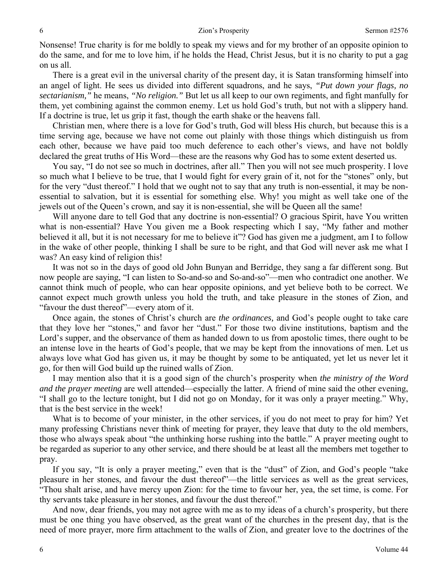Nonsense! True charity is for me boldly to speak my views and for my brother of an opposite opinion to do the same, and for me to love him, if he holds the Head, Christ Jesus, but it is no charity to put a gag on us all.

There is a great evil in the universal charity of the present day, it is Satan transforming himself into an angel of light. He sees us divided into different squadrons, and he says, *"Put down your flags, no sectarianism,"* he means, *"No religion."* But let us all keep to our own regiments, and fight manfully for them, yet combining against the common enemy. Let us hold God's truth, but not with a slippery hand. If a doctrine is true, let us grip it fast, though the earth shake or the heavens fall.

Christian men, where there is a love for God's truth, God will bless His church, but because this is a time serving age, because we have not come out plainly with those things which distinguish us from each other, because we have paid too much deference to each other's views, and have not boldly declared the great truths of His Word—these are the reasons why God has to some extent deserted us.

You say, "I do not see so much in doctrines, after all." Then you will not see much prosperity. I love so much what I believe to be true, that I would fight for every grain of it, not for the "stones" only, but for the very "dust thereof." I hold that we ought not to say that any truth is non-essential, it may be nonessential to salvation, but it is essential for something else. Why! you might as well take one of the jewels out of the Queen's crown, and say it is non-essential, she will be Queen all the same!

Will anyone dare to tell God that any doctrine is non-essential? O gracious Spirit, have You written what is non-essential? Have You given me a Book respecting which I say, "My father and mother believed it all, but it is not necessary for me to believe it"? God has given me a judgment, am I to follow in the wake of other people, thinking I shall be sure to be right, and that God will never ask me what I was? An easy kind of religion this!

It was not so in the days of good old John Bunyan and Berridge, they sang a far different song. But now people are saying, "I can listen to So-and-so and So-and-so"—men who contradict one another. We cannot think much of people, who can hear opposite opinions, and yet believe both to be correct. We cannot expect much growth unless you hold the truth, and take pleasure in the stones of Zion, and "favour the dust thereof"—every atom of it.

Once again, the stones of Christ's church are *the ordinances,* and God's people ought to take care that they love her "stones," and favor her "dust." For those two divine institutions, baptism and the Lord's supper, and the observance of them as handed down to us from apostolic times, there ought to be an intense love in the hearts of God's people, that we may be kept from the innovations of men. Let us always love what God has given us, it may be thought by some to be antiquated, yet let us never let it go, for then will God build up the ruined walls of Zion.

I may mention also that it is a good sign of the church's prosperity when *the ministry of the Word and the prayer meeting* are well attended—especially the latter. A friend of mine said the other evening, "I shall go to the lecture tonight, but I did not go on Monday, for it was only a prayer meeting." Why, that is the best service in the week!

What is to become of your minister, in the other services, if you do not meet to pray for him? Yet many professing Christians never think of meeting for prayer, they leave that duty to the old members, those who always speak about "the unthinking horse rushing into the battle." A prayer meeting ought to be regarded as superior to any other service, and there should be at least all the members met together to pray.

If you say, "It is only a prayer meeting," even that is the "dust" of Zion, and God's people "take pleasure in her stones, and favour the dust thereof"—the little services as well as the great services, "Thou shalt arise, and have mercy upon Zion: for the time to favour her, yea, the set time, is come. For thy servants take pleasure in her stones, and favour the dust thereof."

And now, dear friends, you may not agree with me as to my ideas of a church's prosperity, but there must be one thing you have observed, as the great want of the churches in the present day, that is the need of more prayer, more firm attachment to the walls of Zion, and greater love to the doctrines of the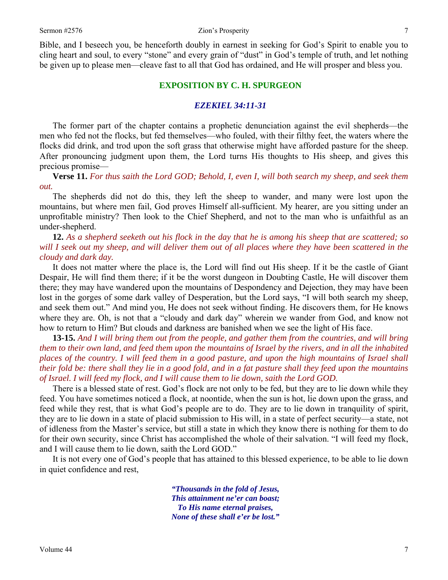Bible, and I beseech you, be henceforth doubly in earnest in seeking for God's Spirit to enable you to cling heart and soul, to every "stone" and every grain of "dust" in God's temple of truth, and let nothing be given up to please men—cleave fast to all that God has ordained, and He will prosper and bless you.

#### **EXPOSITION BY C. H. SPURGEON**

## *EZEKIEL 34:11-31*

The former part of the chapter contains a prophetic denunciation against the evil shepherds—the men who fed not the flocks, but fed themselves—who fouled, with their filthy feet, the waters where the flocks did drink, and trod upon the soft grass that otherwise might have afforded pasture for the sheep. After pronouncing judgment upon them, the Lord turns His thoughts to His sheep, and gives this precious promise—

**Verse 11.** *For thus saith the Lord GOD; Behold, I, even I, will both search my sheep, and seek them out.* 

The shepherds did not do this, they left the sheep to wander, and many were lost upon the mountains, but where men fail, God proves Himself all-sufficient. My hearer, are you sitting under an unprofitable ministry? Then look to the Chief Shepherd, and not to the man who is unfaithful as an under-shepherd.

**12.** *As a shepherd seeketh out his flock in the day that he is among his sheep that are scattered; so will I seek out my sheep, and will deliver them out of all places where they have been scattered in the cloudy and dark day.* 

It does not matter where the place is, the Lord will find out His sheep. If it be the castle of Giant Despair, He will find them there; if it be the worst dungeon in Doubting Castle, He will discover them there; they may have wandered upon the mountains of Despondency and Dejection, they may have been lost in the gorges of some dark valley of Desperation, but the Lord says, "I will both search my sheep, and seek them out." And mind you, He does not seek without finding. He discovers them, for He knows where they are. Oh, is not that a "cloudy and dark day" wherein we wander from God, and know not how to return to Him? But clouds and darkness are banished when we see the light of His face.

**13-15.** *And I will bring them out from the people, and gather them from the countries, and will bring them to their own land, and feed them upon the mountains of Israel by the rivers, and in all the inhabited places of the country. I will feed them in a good pasture, and upon the high mountains of Israel shall their fold be: there shall they lie in a good fold, and in a fat pasture shall they feed upon the mountains of Israel. I will feed my flock, and I will cause them to lie down, saith the Lord GOD.* 

There is a blessed state of rest. God's flock are not only to be fed, but they are to lie down while they feed. You have sometimes noticed a flock, at noontide, when the sun is hot, lie down upon the grass, and feed while they rest, that is what God's people are to do. They are to lie down in tranquility of spirit, they are to lie down in a state of placid submission to His will, in a state of perfect security—a state, not of idleness from the Master's service, but still a state in which they know there is nothing for them to do for their own security, since Christ has accomplished the whole of their salvation. "I will feed my flock, and I will cause them to lie down, saith the Lord GOD."

It is not every one of God's people that has attained to this blessed experience, to be able to lie down in quiet confidence and rest,

> *"Thousands in the fold of Jesus, This attainment ne'er can boast; To His name eternal praises, None of these shall e'er be lost."*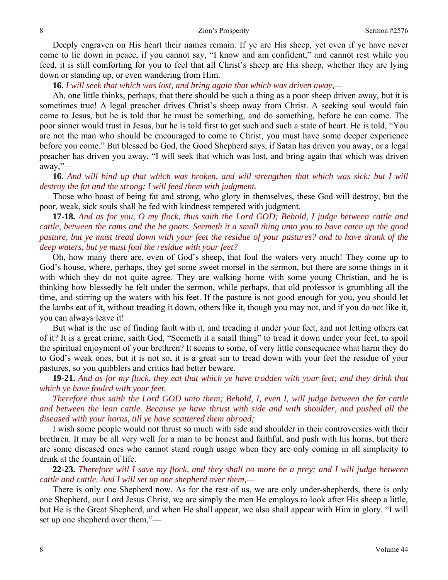Deeply engraven on His heart their names remain. If ye are His sheep, yet even if ye have never come to lie down in peace, if you cannot say, "I know and am confident," and cannot rest while you feed, it is still comforting for you to feel that all Christ's sheep are His sheep, whether they are lying down or standing up, or even wandering from Him.

**16.** *I will seek that which was lost, and bring again that which was driven away,—* 

Ah, one little thinks, perhaps, that there should be such a thing as a poor sheep driven away, but it is sometimes true! A legal preacher drives Christ's sheep away from Christ. A seeking soul would fain come to Jesus, but he is told that he must be something, and do something, before he can come. The poor sinner would trust in Jesus, but he is told first to get such and such a state of heart. He is told, "You are not the man who should be encouraged to come to Christ, you must have some deeper experience before you come." But blessed be God, the Good Shepherd says, if Satan has driven you away, or a legal preacher has driven you away, "I will seek that which was lost, and bring again that which was driven away,"—

**16.** *And will bind up that which was broken, and will strengthen that which was sick: but I will destroy the fat and the strong; I will feed them with judgment.* 

Those who boast of being fat and strong, who glory in themselves, these God will destroy, but the poor, weak, sick souls shall be fed with kindness tempered with judgment.

**17-18.** *And as for you, O my flock, thus saith the Lord GOD; Behold, I judge between cattle and cattle, between the rams and the he goats. Seemeth it a small thing unto you to have eaten up the good pasture, but ye must tread down with your feet the residue of your pastures? and to have drunk of the deep waters, but ye must foul the residue with your feet?* 

Oh, how many there are, even of God's sheep, that foul the waters very much! They come up to God's house, where, perhaps, they get some sweet morsel in the sermon, but there are some things in it with which they do not quite agree. They are walking home with some young Christian, and he is thinking how blessedly he felt under the sermon, while perhaps, that old professor is grumbling all the time, and stirring up the waters with his feet. If the pasture is not good enough for you, you should let the lambs eat of it, without treading it down, others like it, though you may not, and if you do not like it, you can always leave it!

But what is the use of finding fault with it, and treading it under your feet, and not letting others eat of it? It is a great crime, saith God, "Seemeth it a small thing" to tread it down under your feet, to spoil the spiritual enjoyment of your brethren? It seems to some, of very little consequence what harm they do to God's weak ones, but it is not so, it is a great sin to tread down with your feet the residue of your pastures, so you quibblers and critics had better beware.

**19-21.** *And as for my flock, they eat that which ye have trodden with your feet; and they drink that which ye have fouled with your feet.* 

*Therefore thus saith the Lord GOD unto them; Behold, I, even I, will judge between the fat cattle and between the lean cattle. Because ye have thrust with side and with shoulder, and pushed all the diseased with your horns, till ye have scattered them abroad;* 

I wish some people would not thrust so much with side and shoulder in their controversies with their brethren. It may be all very well for a man to be honest and faithful, and push with his horns, but there are some diseased ones who cannot stand rough usage when they are only coming in all simplicity to drink at the fountain of life.

**22-23.** *Therefore will I save my flock, and they shall no more be a prey; and I will judge between cattle and cattle. And I will set up one shepherd over them,—* 

There is only one Shepherd now. As for the rest of us, we are only under-shepherds, there is only one Shepherd, our Lord Jesus Christ, we are simply the men He employs to look after His sheep a little, but He is the Great Shepherd, and when He shall appear, we also shall appear with Him in glory. "I will set up one shepherd over them,"—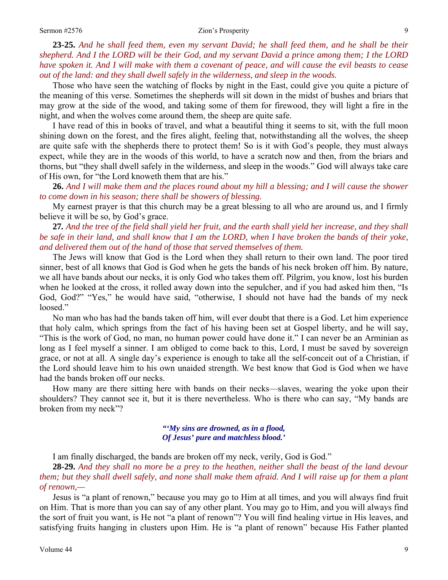#### Sermon #2576 Zion's Prosperity 9

**23-25.** *And he shall feed them, even my servant David; he shall feed them, and he shall be their shepherd. And I the LORD will be their God, and my servant David a prince among them; I the LORD have spoken it. And I will make with them a covenant of peace, and will cause the evil beasts to cease out of the land: and they shall dwell safely in the wilderness, and sleep in the woods.* 

Those who have seen the watching of flocks by night in the East, could give you quite a picture of the meaning of this verse. Sometimes the shepherds will sit down in the midst of bushes and briars that may grow at the side of the wood, and taking some of them for firewood, they will light a fire in the night, and when the wolves come around them, the sheep are quite safe.

I have read of this in books of travel, and what a beautiful thing it seems to sit, with the full moon shining down on the forest, and the fires alight, feeling that, notwithstanding all the wolves, the sheep are quite safe with the shepherds there to protect them! So is it with God's people, they must always expect, while they are in the woods of this world, to have a scratch now and then, from the briars and thorns, but "they shall dwell safely in the wilderness, and sleep in the woods." God will always take care of His own, for "the Lord knoweth them that are his."

**26.** *And I will make them and the places round about my hill a blessing; and I will cause the shower to come down in his season; there shall be showers of blessing.* 

My earnest prayer is that this church may be a great blessing to all who are around us, and I firmly believe it will be so, by God's grace.

**27***. And the tree of the field shall yield her fruit, and the earth shall yield her increase, and they shall be safe in their land, and shall know that I am the LORD, when I have broken the bands of their yoke, and delivered them out of the hand of those that served themselves of them.* 

The Jews will know that God is the Lord when they shall return to their own land. The poor tired sinner, best of all knows that God is God when he gets the bands of his neck broken off him. By nature, we all have bands about our necks, it is only God who takes them off. Pilgrim, you know, lost his burden when he looked at the cross, it rolled away down into the sepulcher, and if you had asked him then, "Is God, God?" "Yes," he would have said, "otherwise, I should not have had the bands of my neck loosed."

No man who has had the bands taken off him, will ever doubt that there is a God. Let him experience that holy calm, which springs from the fact of his having been set at Gospel liberty, and he will say, "This is the work of God, no man, no human power could have done it." I can never be an Arminian as long as I feel myself a sinner. I am obliged to come back to this, Lord, I must be saved by sovereign grace, or not at all. A single day's experience is enough to take all the self-conceit out of a Christian, if the Lord should leave him to his own unaided strength. We best know that God is God when we have had the bands broken off our necks.

How many are there sitting here with bands on their necks—slaves, wearing the yoke upon their shoulders? They cannot see it, but it is there nevertheless. Who is there who can say, "My bands are broken from my neck"?

### *"'My sins are drowned, as in a flood, Of Jesus' pure and matchless blood.'*

I am finally discharged, the bands are broken off my neck, verily, God is God."

**28-29.** *And they shall no more be a prey to the heathen, neither shall the beast of the land devour them; but they shall dwell safely, and none shall make them afraid. And I will raise up for them a plant of renown,—* 

Jesus is "a plant of renown," because you may go to Him at all times, and you will always find fruit on Him. That is more than you can say of any other plant. You may go to Him, and you will always find the sort of fruit you want, is He not "a plant of renown"? You will find healing virtue in His leaves, and satisfying fruits hanging in clusters upon Him. He is "a plant of renown" because His Father planted